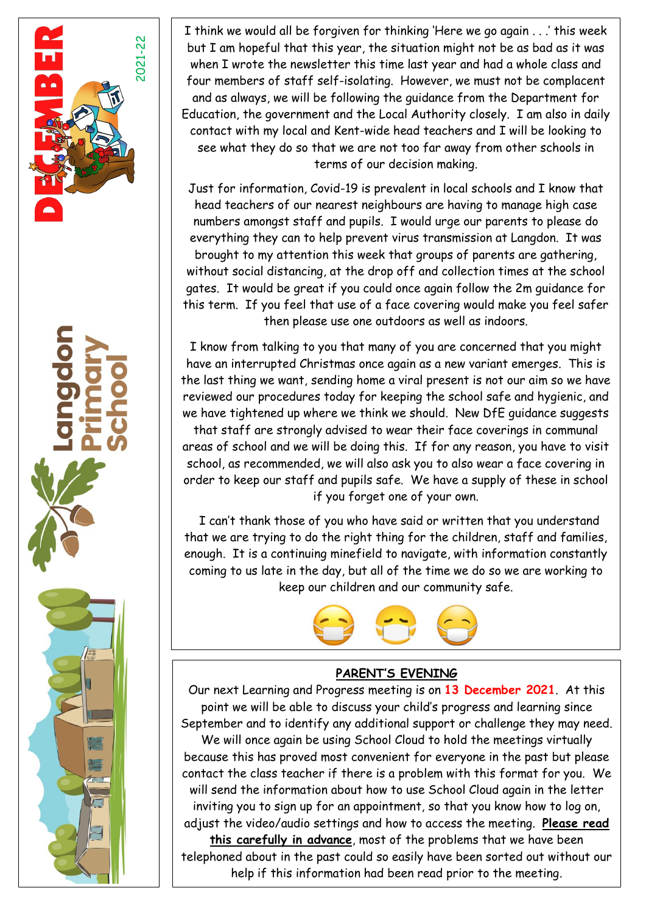



w.langdonprimaryschool.co.uk Find us on Facebook: Langdon Primary School/Langdon Primary School/Langdon Primary School



I think we would all be forgiven for thinking 'Here we go again . . .' this week but I am hopeful that this year, the situation might not be as bad as it was when I wrote the newsletter this time last year and had a whole class and four members of staff self-isolating. However, we must not be complacent and as always, we will be following the guidance from the Department for Education, the government and the Local Authority closely. I am also in daily contact with my local and Kent-wide head teachers and I will be looking to see what they do so that we are not too far away from other schools in terms of our decision making.

Just for information, Covid-19 is prevalent in local schools and I know that head teachers of our nearest neighbours are having to manage high case numbers amongst staff and pupils. I would urge our parents to please do everything they can to help prevent virus transmission at Langdon. It was brought to my attention this week that groups of parents are gathering, without social distancing, at the drop off and collection times at the school gates. It would be great if you could once again follow the 2m guidance for this term. If you feel that use of a face covering would make you feel safer then please use one outdoors as well as indoors.

I know from talking to you that many of you are concerned that you might have an interrupted Christmas once again as a new variant emerges. This is the last thing we want, sending home a viral present is not our aim so we have reviewed our procedures today for keeping the school safe and hygienic, and we have tightened up where we think we should. New DfE guidance suggests

that staff are strongly advised to wear their face coverings in communal areas of school and we will be doing this. If for any reason, you have to visit school, as recommended, we will also ask you to also wear a face covering in order to keep our staff and pupils safe. We have a supply of these in school if you forget one of your own.

 I can't thank those of you who have said or written that you understand that we are trying to do the right thing for the children, staff and families, enough. It is a continuing minefield to navigate, with information constantly coming to us late in the day, but all of the time we do so we are working to keep our children and our community safe.



## **PARENT'S EVENING**

Our next Learning and Progress meeting is on **13 December 2021**. At this point we will be able to discuss your child's progress and learning since September and to identify any additional support or challenge they may need. We will once again be using School Cloud to hold the meetings virtually because this has proved most convenient for everyone in the past but please contact the class teacher if there is a problem with this format for you. We will send the information about how to use School Cloud again in the letter inviting you to sign up for an appointment, so that you know how to log on, adjust the video/audio settings and how to access the meeting. **Please read this carefully in advance**, most of the problems that we have been telephoned about in the past could so easily have been sorted out without our help if this information had been read prior to the meeting.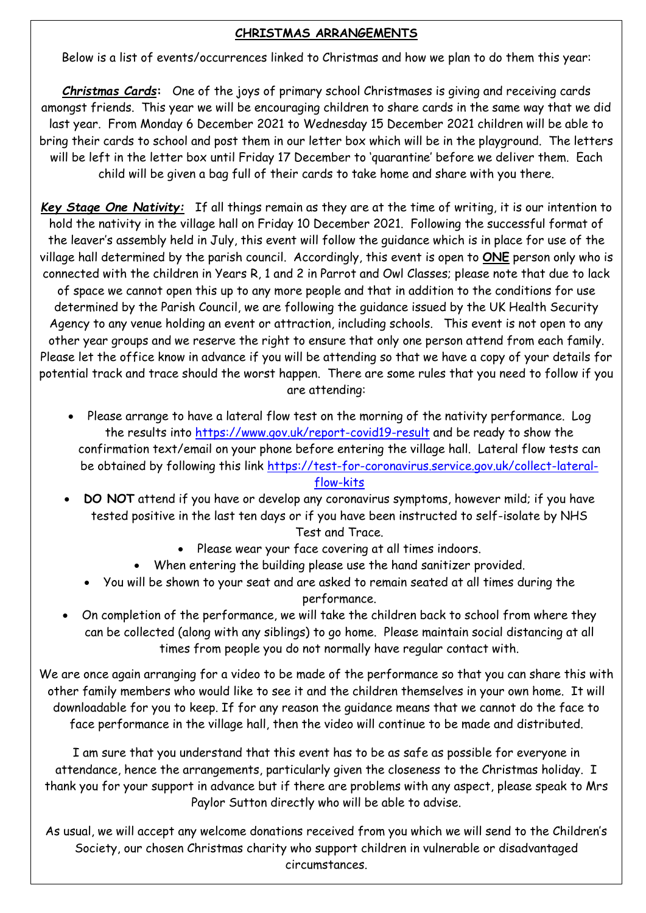## **CHRISTMAS ARRANGEMENTS**

Children in Below is a list of events/occurrences linked to Christmas and how we plan to do them this year:

*Christmas Cards***:** One of the joys of primary school Christmases is giving and receiving cards amongst friends. This year we will be encouraging children to share cards in the same way that we did last year. From Monday 6 December 2021 to Wednesday 15 December 2021 children will be able to bring their cards to school and post them in our letter box which will be in the playground. The letters will be left in the letter box until Friday 17 December to 'quarantine' before we deliver them. Each child will be given a bag full of their cards to take home and share with you there.

*Key Stage One Nativity:* If all things remain as they are at the time of writing, it is our intention to hold the nativity in the village hall on Friday 10 December 2021. Following the successful format of the leaver's assembly held in July, this event will follow the guidance which is in place for use of the village hall determined by the parish council. Accordingly, this event is open to **ONE** person only who is connected with the children in Years R, 1 and 2 in Parrot and Owl Classes; please note that due to lack of space we cannot open this up to any more people and that in addition to the conditions for use determined by the Parish Council, we are following the guidance issued by the UK Health Security Agency to any venue holding an event or attraction, including schools. This event is not open to any other year groups and we reserve the right to ensure that only one person attend from each family. Please let the office know in advance if you will be attending so that we have a copy of your details for potential track and trace should the worst happen. There are some rules that you need to follow if you are attending:

• Please arrange to have a lateral flow test on the morning of the nativity performance. Log the results into<https://www.gov.uk/report-covid19-result> and be ready to show the confirmation text/email on your phone before entering the village hall. Lateral flow tests can be obtained by following this link [https://test-for-coronavirus.service.gov.uk/collect-lateral-](https://test-for-coronavirus.service.gov.uk/collect-lateral-flow-kits)

### [flow-kits](https://test-for-coronavirus.service.gov.uk/collect-lateral-flow-kits)

• **DO NOT** attend if you have or develop any coronavirus symptoms, however mild; if you have tested positive in the last ten days or if you have been instructed to self-isolate by NHS

Test and Trace.

- Please wear your face covering at all times indoors.
- When entering the building please use the hand sanitizer provided.
- You will be shown to your seat and are asked to remain seated at all times during the performance.
- On completion of the performance, we will take the children back to school from where they can be collected (along with any siblings) to go home. Please maintain social distancing at all times from people you do not normally have regular contact with.

We are once again arranging for a video to be made of the performance so that you can share this with other family members who would like to see it and the children themselves in your own home. It will downloadable for you to keep. If for any reason the guidance means that we cannot do the face to face performance in the village hall, then the video will continue to be made and distributed.

I am sure that you understand that this event has to be as safe as possible for everyone in attendance, hence the arrangements, particularly given the closeness to the Christmas holiday. I thank you for your support in advance but if there are problems with any aspect, please speak to Mrs Paylor Sutton directly who will be able to advise.

As usual, we will accept any welcome donations received from you which we will send to the Children's Society, our chosen Christmas charity who support children in vulnerable or disadvantaged circumstances.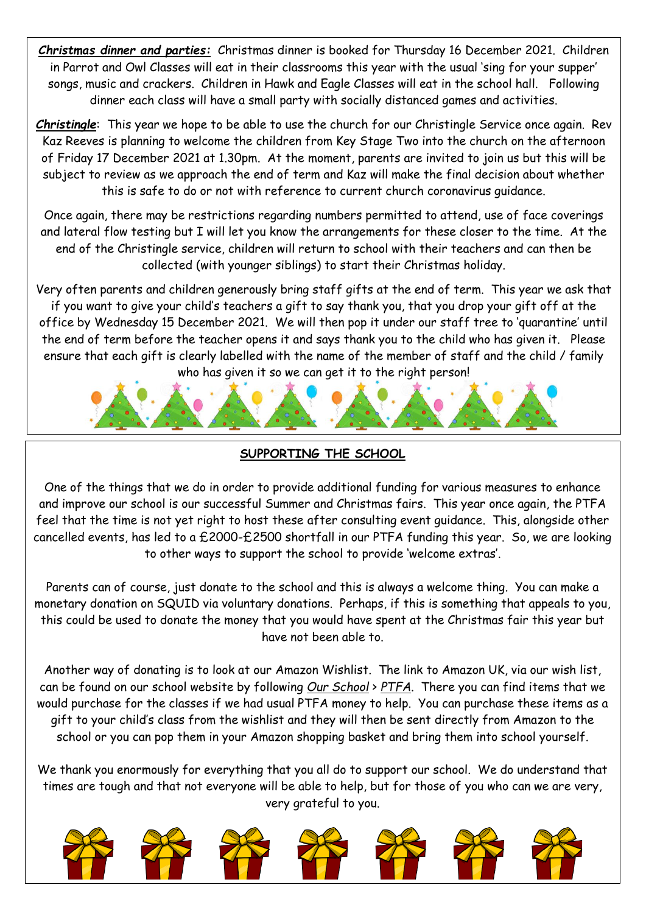*Christmas dinner and parties:* Christmas dinner is booked for Thursday 16 December 2021. Children in Parrot and Owl Classes will eat in their classrooms this year with the usual 'sing for your supper' songs, music and crackers. Children in Hawk and Eagle Classes will eat in the school hall. Following dinner each class will have a small party with socially distanced games and activities.

*Christingle*: This year we hope to be able to use the church for our Christingle Service once again. Rev Kaz Reeves is planning to welcome the children from Key Stage Two into the church on the afternoon of Friday 17 December 2021 at 1.30pm. At the moment, parents are invited to join us but this will be subject to review as we approach the end of term and Kaz will make the final decision about whether this is safe to do or not with reference to current church coronavirus guidance.

Once again, there may be restrictions regarding numbers permitted to attend, use of face coverings and lateral flow testing but I will let you know the arrangements for these closer to the time. At the end of the Christingle service, children will return to school with their teachers and can then be collected (with younger siblings) to start their Christmas holiday.

Very often parents and children generously bring staff gifts at the end of term. This year we ask that if you want to give your child's teachers a gift to say thank you, that you drop your gift off at the office by Wednesday 15 December 2021. We will then pop it under our staff tree to 'quarantine' until the end of term before the teacher opens it and says thank you to the child who has given it. Please ensure that each gift is clearly labelled with the name of the member of staff and the child / family who has given it so we can get it to the right person!



# **SUPPORTING THE SCHOOL**

One of the things that we do in order to provide additional funding for various measures to enhance and improve our school is our successful Summer and Christmas fairs. This year once again, the PTFA feel that the time is not yet right to host these after consulting event guidance. This, alongside other cancelled events, has led to a £2000-£2500 shortfall in our PTFA funding this year. So, we are looking to other ways to support the school to provide 'welcome extras'.

Parents can of course, just donate to the school and this is always a welcome thing. You can make a monetary donation on SQUID via voluntary donations. Perhaps, if this is something that appeals to you, this could be used to donate the money that you would have spent at the Christmas fair this year but have not been able to.

Another way of donating is to look at our Amazon Wishlist. The link to Amazon UK, via our wish list, can be found on our school website by following *Our School* > *PTFA*. There you can find items that we would purchase for the classes if we had usual PTFA money to help. You can purchase these items as a gift to your child's class from the wishlist and they will then be sent directly from Amazon to the school or you can pop them in your Amazon shopping basket and bring them into school yourself.

We thank you enormously for everything that you all do to support our school. We do understand that times are tough and that not everyone will be able to help, but for those of you who can we are very, very grateful to you.